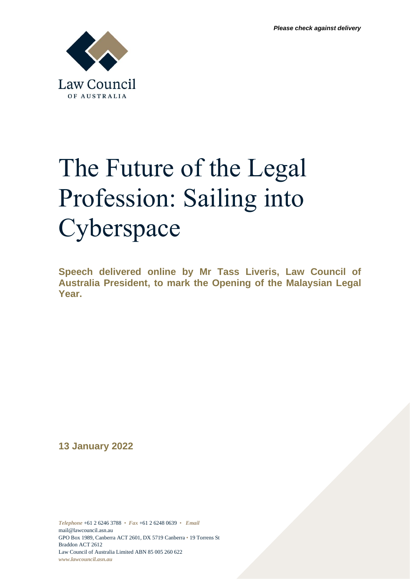

## The Future of the Legal Profession: Sailing into Cyberspace

**Speech delivered online by Mr Tass Liveris, Law Council of Australia President, to mark the Opening of the Malaysian Legal Year.** 

**13 January 2022**

*Telephone* +61 2 6246 3788 • *Fax* +61 2 6248 0639 • *Email* [mail@lawcouncil.asn.au](mailto:mail@lawcouncil.asn.au) GPO Box 1989, Canberra ACT 2601, DX 5719 Canberra • 19 Torrens St Braddon ACT 2612 Law Council of Australia Limited ABN 85 005 260 622 *www.lawcouncil.asn.au*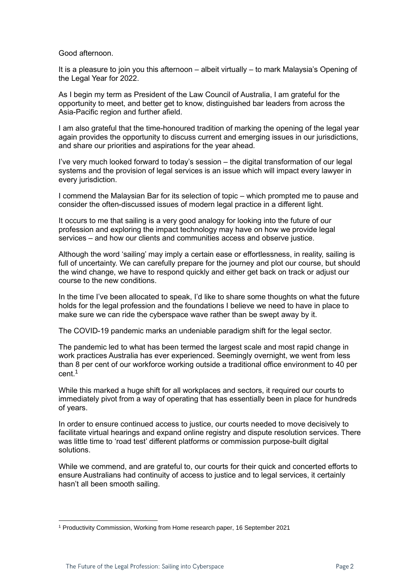## Good afternoon.

It is a pleasure to join you this afternoon – albeit virtually – to mark Malaysia's Opening of the Legal Year for 2022.

As I begin my term as President of the Law Council of Australia, I am grateful for the opportunity to meet, and better get to know, distinguished bar leaders from across the Asia-Pacific region and further afield.

I am also grateful that the time-honoured tradition of marking the opening of the legal year again provides the opportunity to discuss current and emerging issues in our jurisdictions, and share our priorities and aspirations for the year ahead.

I've very much looked forward to today's session – the digital transformation of our legal systems and the provision of legal services is an issue which will impact every lawyer in every jurisdiction.

I commend the Malaysian Bar for its selection of topic – which prompted me to pause and consider the often-discussed issues of modern legal practice in a different light.

It occurs to me that sailing is a very good analogy for looking into the future of our profession and exploring the impact technology may have on how we provide legal services – and how our clients and communities access and observe justice.

Although the word 'sailing' may imply a certain ease or effortlessness, in reality, sailing is full of uncertainty. We can carefully prepare for the journey and plot our course, but should the wind change, we have to respond quickly and either get back on track or adjust our course to the new conditions.

In the time I've been allocated to speak, I'd like to share some thoughts on what the future holds for the legal profession and the foundations I believe we need to have in place to make sure we can ride the cyberspace wave rather than be swept away by it.

The COVID-19 pandemic marks an undeniable paradigm shift for the legal sector.

The pandemic led to what has been termed the largest scale and most rapid change in work practices Australia has ever experienced. Seemingly overnight, we went from less than 8 per cent of our workforce working outside a traditional office environment to 40 per  $cent<sup>1</sup>$ 

While this marked a huge shift for all workplaces and sectors, it required our courts to immediately pivot from a way of operating that has essentially been in place for hundreds of years.

In order to ensure continued access to justice, our courts needed to move decisively to facilitate virtual hearings and expand online registry and dispute resolution services. There was little time to 'road test' different platforms or commission purpose-built digital solutions.

While we commend, and are grateful to, our courts for their quick and concerted efforts to ensure Australians had continuity of access to justice and to legal services, it certainly hasn't all been smooth sailing.

<sup>1</sup> Productivity Commission, Working from Home research paper, 16 September 2021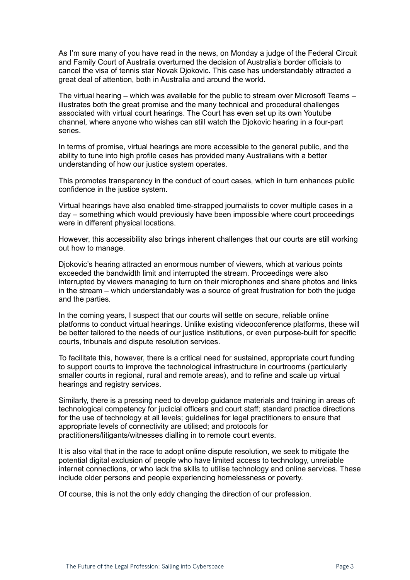As I'm sure many of you have read in the news, on Monday a judge of the Federal Circuit and Family Court of Australia overturned the decision of Australia's border officials to cancel the visa of tennis star Novak Djokovic. This case has understandably attracted a great deal of attention, both in Australia and around the world.

The virtual hearing – which was available for the public to stream over Microsoft Teams – illustrates both the great promise and the many technical and procedural challenges associated with virtual court hearings. The Court has even set up its own Youtube channel, where anyone who wishes can still watch the Djokovic hearing in a four-part series.

In terms of promise, virtual hearings are more accessible to the general public, and the ability to tune into high profile cases has provided many Australians with a better understanding of how our justice system operates.

This promotes transparency in the conduct of court cases, which in turn enhances public confidence in the justice system.

Virtual hearings have also enabled time-strapped journalists to cover multiple cases in a day – something which would previously have been impossible where court proceedings were in different physical locations.

However, this accessibility also brings inherent challenges that our courts are still working out how to manage.

Djokovic's hearing attracted an enormous number of viewers, which at various points exceeded the bandwidth limit and interrupted the stream. Proceedings were also interrupted by viewers managing to turn on their microphones and share photos and links in the stream – which understandably was a source of great frustration for both the judge and the parties.

In the coming years, I suspect that our courts will settle on secure, reliable online platforms to conduct virtual hearings. Unlike existing videoconference platforms, these will be better tailored to the needs of our justice institutions, or even purpose-built for specific courts, tribunals and dispute resolution services.

To facilitate this, however, there is a critical need for sustained, appropriate court funding to support courts to improve the technological infrastructure in courtrooms (particularly smaller courts in regional, rural and remote areas), and to refine and scale up virtual hearings and registry services.

Similarly, there is a pressing need to develop guidance materials and training in areas of: technological competency for judicial officers and court staff; standard practice directions for the use of technology at all levels; guidelines for legal practitioners to ensure that appropriate levels of connectivity are utilised; and protocols for practitioners/litigants/witnesses dialling in to remote court events.

It is also vital that in the race to adopt online dispute resolution, we seek to mitigate the potential digital exclusion of people who have limited access to technology, unreliable internet connections, or who lack the skills to utilise technology and online services. These include older persons and people experiencing homelessness or poverty.

Of course, this is not the only eddy changing the direction of our profession.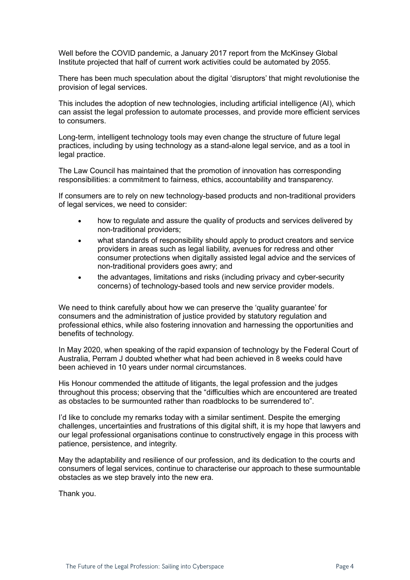Well before the COVID pandemic, a January 2017 report from the McKinsey Global Institute projected that half of current work activities could be automated by 2055.

There has been much speculation about the digital 'disruptors' that might revolutionise the provision of legal services.

This includes the adoption of new technologies, including artificial intelligence (AI), which can assist the legal profession to automate processes, and provide more efficient services to consumers.

Long-term, intelligent technology tools may even change the structure of future legal practices, including by using technology as a stand-alone legal service, and as a tool in legal practice.

The Law Council has maintained that the promotion of innovation has corresponding responsibilities: a commitment to fairness, ethics, accountability and transparency.

If consumers are to rely on new technology-based products and non-traditional providers of legal services, we need to consider:

- how to regulate and assure the quality of products and services delivered by non-traditional providers;
- what standards of responsibility should apply to product creators and service providers in areas such as legal liability, avenues for redress and other consumer protections when digitally assisted legal advice and the services of non-traditional providers goes awry; and
- the advantages, limitations and risks (including privacy and cyber-security concerns) of technology-based tools and new service provider models.

We need to think carefully about how we can preserve the 'quality quarantee' for consumers and the administration of justice provided by statutory regulation and professional ethics, while also fostering innovation and harnessing the opportunities and benefits of technology.

In May 2020, when speaking of the rapid expansion of technology by the Federal Court of Australia, Perram J doubted whether what had been achieved in 8 weeks could have been achieved in 10 years under normal circumstances.

His Honour commended the attitude of litigants, the legal profession and the judges throughout this process; observing that the "difficulties which are encountered are treated as obstacles to be surmounted rather than roadblocks to be surrendered to".

I'd like to conclude my remarks today with a similar sentiment. Despite the emerging challenges, uncertainties and frustrations of this digital shift, it is my hope that lawyers and our legal professional organisations continue to constructively engage in this process with patience, persistence, and integrity.

May the adaptability and resilience of our profession, and its dedication to the courts and consumers of legal services, continue to characterise our approach to these surmountable obstacles as we step bravely into the new era.

Thank you.